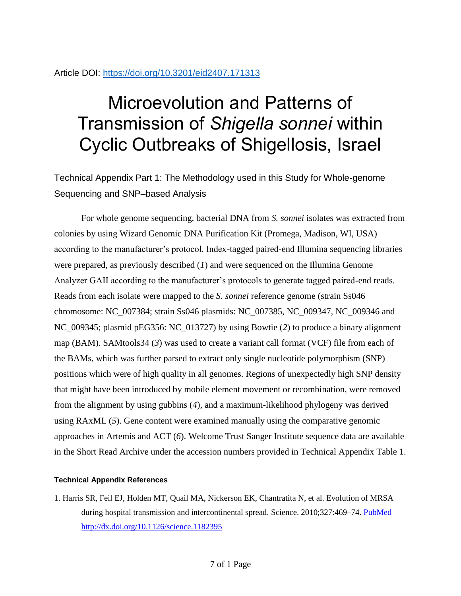## Article DOI:<https://doi.org/10.3201/eid2407.171313>

## Microevolution and Patterns of Transmission of *Shigella sonnei* within Cyclic Outbreaks of Shigellosis, Israel

Technical Appendix Part 1: The Methodology used in this Study for Whole-genome Sequencing and SNP–based Analysis

For whole genome sequencing, bacterial DNA from *S. sonnei* isolates was extracted from colonies by using Wizard Genomic DNA Purification Kit (Promega, Madison, WI, USA) according to the manufacturer's protocol. Index-tagged paired-end Illumina sequencing libraries were prepared, as previously described (*1*) and were sequenced on the Illumina Genome Analyzer GAII according to the manufacturer's protocols to generate tagged paired-end reads. Reads from each isolate were mapped to the *S. sonnei* reference genome (strain Ss046 chromosome: NC\_007384; strain Ss046 plasmids: NC\_007385, NC\_009347, NC\_009346 and NC\_009345; plasmid pEG356: NC\_013727) by using Bowtie (*2*) to produce a binary alignment map (BAM). SAMtools34 (*3*) was used to create a variant call format (VCF) file from each of the BAMs, which was further parsed to extract only single nucleotide polymorphism (SNP) positions which were of high quality in all genomes. Regions of unexpectedly high SNP density that might have been introduced by mobile element movement or recombination, were removed from the alignment by using gubbins (*4*), and a maximum-likelihood phylogeny was derived using RAxML (*5*). Gene content were examined manually using the comparative genomic approaches in Artemis and ACT (*6*). Welcome Trust Sanger Institute sequence data are available in the Short Read Archive under the accession numbers provided in Technical Appendix Table 1.

## **Technical Appendix References**

1. Harris SR, Feil EJ, Holden MT, Quail MA, Nickerson EK, Chantratita N, et al. Evolution of MRSA during hospital transmission and intercontinental spread. Science. 2010;327:469–74. [PubMed](https://www.ncbi.nlm.nih.gov/entrez/query.fcgi?cmd=Retrieve&db=PubMed&list_uids=20093474&dopt=Abstract) <http://dx.doi.org/10.1126/science.1182395>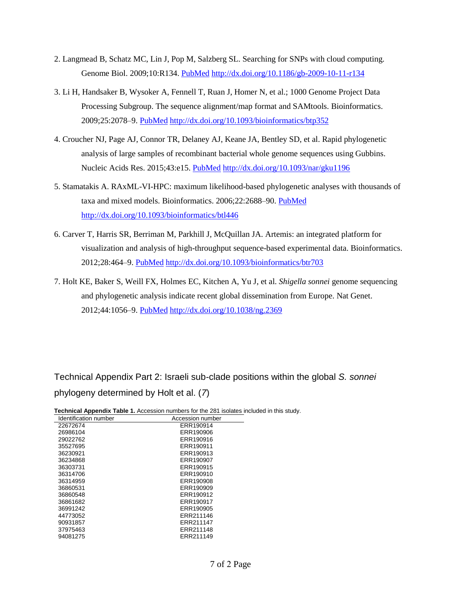- 2. Langmead B, Schatz MC, Lin J, Pop M, Salzberg SL. Searching for SNPs with cloud computing. Genome Biol. 2009;10:R134. [PubMed](https://www.ncbi.nlm.nih.gov/entrez/query.fcgi?cmd=Retrieve&db=PubMed&list_uids=19930550&dopt=Abstract) <http://dx.doi.org/10.1186/gb-2009-10-11-r134>
- 3. Li H, Handsaker B, Wysoker A, Fennell T, Ruan J, Homer N, et al.; 1000 Genome Project Data Processing Subgroup. The sequence alignment/map format and SAMtools. Bioinformatics. 2009;25:2078–9. [PubMed](https://www.ncbi.nlm.nih.gov/entrez/query.fcgi?cmd=Retrieve&db=PubMed&list_uids=19505943&dopt=Abstract) <http://dx.doi.org/10.1093/bioinformatics/btp352>
- 4. Croucher NJ, Page AJ, Connor TR, Delaney AJ, Keane JA, Bentley SD, et al. Rapid phylogenetic analysis of large samples of recombinant bacterial whole genome sequences using Gubbins. Nucleic Acids Res. 2015;43:e15. [PubMed](https://www.ncbi.nlm.nih.gov/entrez/query.fcgi?cmd=Retrieve&db=PubMed&list_uids=25414349&dopt=Abstract) <http://dx.doi.org/10.1093/nar/gku1196>
- 5. Stamatakis A. RAxML-VI-HPC: maximum likelihood-based phylogenetic analyses with thousands of taxa and mixed models. Bioinformatics. 2006;22:2688–90. [PubMed](https://www.ncbi.nlm.nih.gov/entrez/query.fcgi?cmd=Retrieve&db=PubMed&list_uids=16928733&dopt=Abstract) <http://dx.doi.org/10.1093/bioinformatics/btl446>
- 6. Carver T, Harris SR, Berriman M, Parkhill J, McQuillan JA. Artemis: an integrated platform for visualization and analysis of high-throughput sequence-based experimental data. Bioinformatics. 2012;28:464–9. [PubMed](https://www.ncbi.nlm.nih.gov/entrez/query.fcgi?cmd=Retrieve&db=PubMed&list_uids=22199388&dopt=Abstract) <http://dx.doi.org/10.1093/bioinformatics/btr703>
- 7. Holt KE, Baker S, Weill FX, Holmes EC, Kitchen A, Yu J, et al. *Shigella sonnei* genome sequencing and phylogenetic analysis indicate recent global dissemination from Europe. Nat Genet. 2012;44:1056–9. [PubMed](https://www.ncbi.nlm.nih.gov/entrez/query.fcgi?cmd=Retrieve&db=PubMed&list_uids=22863732&dopt=Abstract) <http://dx.doi.org/10.1038/ng.2369>

Technical Appendix Part 2: Israeli sub-clade positions within the global *S. sonnei* phylogeny determined by Holt et al. (*7*)

| Technical Appendix Table 1. Accession numbers for the 281 isolates included in this study. |  |  |
|--------------------------------------------------------------------------------------------|--|--|
|--------------------------------------------------------------------------------------------|--|--|

| Identification number | Accession number |
|-----------------------|------------------|
| 22672674              | ERR190914        |
| 26986104              | ERR190906        |
| 29022762              | ERR190916        |
| 35527695              | ERR190911        |
| 36230921              | ERR190913        |
| 36234868              | ERR190907        |
| 36303731              | ERR190915        |
| 36314706              | ERR190910        |
| 36314959              | ERR190908        |
| 36860531              | ERR190909        |
| 36860548              | ERR190912        |
| 36861682              | ERR190917        |
| 36991242              | ERR190905        |
| 44773052              | ERR211146        |
| 90931857              | ERR211147        |
| 37975463              | ERR211148        |
| 94081275              | ERR211149        |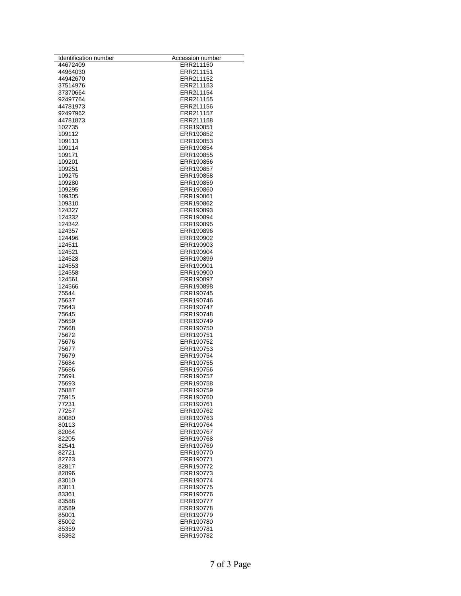| Identification number | Accession number       |
|-----------------------|------------------------|
| 44672409              | ERR211150              |
| 44964030              | ERR211151              |
| 44942670              | ERR211152<br>ERR211153 |
| 37514976<br>37370664  | ERR211154              |
| 92497764              | ERR211155              |
| 44781973              | ERR211156              |
| 92497962              | ERR211157              |
| 44781873              | ERR211158              |
| 102735                | ERR190851              |
| 109112                | ERR190852              |
| 109113                | ERR190853              |
| 109114                | ERR190854              |
| 109171                | ERR190855              |
| 109201<br>109251      | ERR190856<br>ERR190857 |
| 109275                | ERR190858              |
| 109280                | ERR190859              |
| 109295                | ERR190860              |
| 109305                | ERR190861              |
| 109310                | ERR190862              |
| 124327                | ERR190893              |
| 124332                | ERR190894              |
| 124342                | ERR190895              |
| 124357                | ERR190896              |
| 124496                | ERR190902              |
| 124511<br>124521      | ERR190903<br>ERR190904 |
| 124528                | ERR190899              |
| 124553                | ERR190901              |
| 124558                | ERR190900              |
| 124561                | ERR190897              |
| 124566                | ERR190898              |
| 75544                 | ERR190745              |
| 75637                 | ERR190746              |
| 75643                 | ERR190747              |
| 75645<br>75659        | ERR190748<br>ERR190749 |
| 75668                 | ERR190750              |
| 75672                 | ERR190751              |
| 75676                 | ERR190752              |
| 75677                 | ERR190753              |
| 75679                 | ERR190754              |
| 75684                 | ERR190755              |
| 75686                 | ERR190756              |
| 75691                 | ERR190757<br>ERR190758 |
| 75693<br>75887        | ERR190759              |
| 75915                 | ERR190760              |
| 77231                 | ERR190761              |
| 77257                 | ERR190762              |
| 80080                 | ERR190763              |
| 80113                 | ERR190764              |
| 82064                 | ERR190767              |
| 82205                 | ERR190768              |
| 82541                 | ERR190769<br>ERR190770 |
| 82721<br>82723        | ERR190771              |
| 82817                 | ERR190772              |
| 82896                 | ERR190773              |
| 83010                 | ERR190774              |
| 83011                 | ERR190775              |
| 83361                 | ERR190776              |
| 83588                 | ERR190777              |
| 83589                 | ERR190778              |
| 85001                 | ERR190779              |
| 85002                 | ERR190780              |
| 85359<br>85362        | ERR190781<br>ERR190782 |
|                       |                        |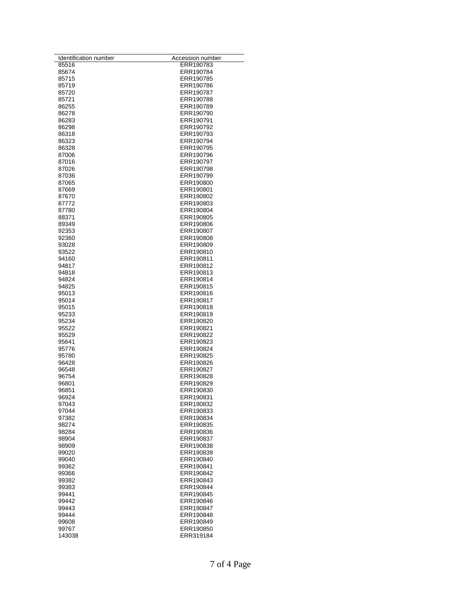| Identification number | Accession number       |
|-----------------------|------------------------|
| 85516                 | ERR190783              |
| 85674                 | ERR190784              |
| 85715<br>85719        | ERR190785<br>ERR190786 |
| 85720                 | ERR190787              |
| 85721                 | ERR190788              |
| 86255                 | ERR190789              |
| 86278                 | ERR190790              |
| 86283                 | ERR190791              |
| 86298                 | ERR190792              |
| 86318                 | ERR190793              |
| 86323                 | ERR190794              |
| 86328                 | ERR190795              |
| 87006                 | ERR190796              |
| 87016                 | ERR190797              |
| 87026                 | ERR190798              |
| 87036                 | ERR190799<br>ERR190800 |
| 87065<br>87669        | ERR190801              |
| 87670                 | ERR190802              |
| 87772                 | ERR190803              |
| 87780                 | ERR190804              |
| 88371                 | ERR190805              |
| 89349                 | ERR190806              |
| 92353                 | ERR190807              |
| 92360                 | ERR190808              |
| 93028                 | ERR190809              |
| 93522                 | ERR190810              |
| 94160                 | ERR190811              |
| 94817                 | ERR190812              |
| 94818                 | ERR190813              |
| 94824                 | ERR190814              |
| 94825<br>95013        | ERR190815<br>ERR190816 |
| 95014                 | ERR190817              |
| 95015                 | ERR190818              |
| 95233                 | ERR190819              |
| 95234                 | ERR190820              |
| 95522                 | ERR190821              |
| 95529                 | ERR190822              |
| 95641                 | ERR190823              |
| 95776                 | ERR190824              |
| 95780                 | ERR190825              |
| 96428                 | ERR190826              |
| 96548                 | ERR190827              |
| 96754<br>96801        | ERR190828<br>ERR190829 |
| 96851                 | ERR190830              |
| 96924                 | ERR190831              |
| 97043                 | ERR190832              |
| 97044                 | ERR190833              |
| 97382                 | ERR190834              |
| 98274                 | ERR190835              |
| 98284                 | ERR190836              |
| 98904                 | ERR190837              |
| 98909                 | ERR190838              |
| 99020                 | ERR190839<br>ERR190840 |
| 99040<br>99362        | ERR190841              |
| 99366                 | ERR190842              |
| 99382                 | ERR190843              |
| 99383                 | ERR190844              |
| 99441                 | ERR190845              |
| 99442                 | ERR190846              |
| 99443                 | ERR190847              |
| 99444                 | ERR190848              |
| 99608                 | ERR190849              |
| 99767                 | ERR190850              |
| 143038                | ERR319184              |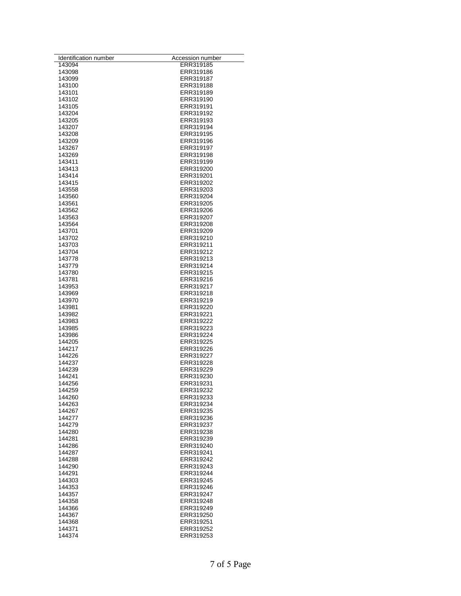| Identification number | Accession number       |
|-----------------------|------------------------|
| 143094                | ERR319185              |
| 143098                | ERR319186              |
| 143099                | ERR319187              |
| 143100                | ERR319188              |
| 143101                | ERR319189              |
| 143102                | ERR319190              |
| 143105<br>143204      | ERR319191<br>ERR319192 |
| 143205                | ERR319193              |
| 143207                | ERR319194              |
| 143208                | ERR319195              |
| 143209                | ERR319196              |
| 143267                | ERR319197              |
| 143269                | ERR319198              |
| 143411                | ERR319199              |
| 143413                | ERR319200              |
| 143414                | ERR319201              |
| 143415                | ERR319202              |
| 143558                | ERR319203              |
| 143560                | ERR319204              |
| 143561                | ERR319205              |
| 143562                | ERR319206              |
| 143563                | ERR319207              |
| 143564                | ERR319208              |
| 143701<br>143702      | ERR319209<br>ERR319210 |
| 143703                | ERR319211              |
| 143704                | ERR319212              |
| 143778                | ERR319213              |
| 143779                | ERR319214              |
| 143780                | ERR319215              |
| 143781                | ERR319216              |
| 143953                | ERR319217              |
| 143969                | ERR319218              |
| 143970                | ERR319219              |
| 143981                | ERR319220              |
| 143982                | ERR319221              |
| 143983                | ERR319222              |
| 143985                | ERR319223              |
| 143986                | ERR319224              |
| 144205<br>144217      | ERR319225<br>ERR319226 |
| 144226                | ERR319227              |
| 144237                | ERR319228              |
| 144239                | ERR319229              |
| 144241                | ERR319230              |
| 144256                | ERR319231              |
| 144259                | ERR319232              |
| 144260                | ERR319233              |
| 144263                | ERR319234              |
| 144267                | ERR319235              |
| 144277                | ERR319236              |
| 144279                | ERR319237              |
| 144280                | ERR319238              |
| 144281                | ERR319239              |
| 144286                | ERR319240              |
| 144287                | ERR319241              |
| 144288<br>144290      | ERR319242<br>ERR319243 |
| 144291                | ERR319244              |
| 144303                | ERR319245              |
| 144353                | ERR319246              |
| 144357                | ERR319247              |
| 144358                | ERR319248              |
| 144366                | ERR319249              |
| 144367                | ERR319250              |
| 144368                | ERR319251              |
| 144371                | ERR319252              |
| 144374                | ERR319253              |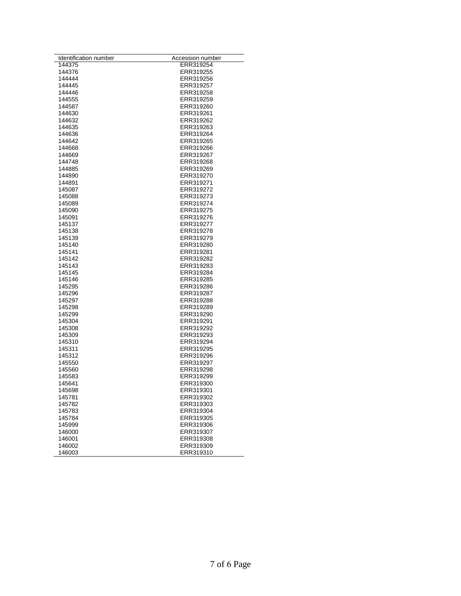| Identification number | Accession number |
|-----------------------|------------------|
| 144375                | ERR319254        |
| 144376                | ERR319255        |
| 144444                | ERR319256        |
| 144445                | ERR319257        |
| 144446                | ERR319258        |
| 144555                | ERR319259        |
| 144587                | ERR319260        |
| 144630                | ERR319261        |
| 144632                | ERR319262        |
| 144635                | ERR319263        |
| 144636                | ERR319264        |
| 144642                | ERR319265        |
| 144668                | ERR319266        |
| 144669                | ERR319267        |
| 144748                | ERR319268        |
| 144885                | ERR319269        |
| 144890                | ERR319270        |
| 144891                | ERR319271        |
| 145087                | ERR319272        |
| 145088                | ERR319273        |
| 145089                | ERR319274        |
| 145090                | ERR319275        |
| 145091                | ERR319276        |
| 145137                |                  |
|                       | ERR319277        |
| 145138                | ERR319278        |
| 145139                | ERR319279        |
| 145140                | ERR319280        |
| 145141                | ERR319281        |
| 145142                | ERR319282        |
| 145143                | ERR319283        |
| 145145                | ERR319284        |
| 145146                | ERR319285        |
| 145295                | ERR319286        |
| 145296                | ERR319287        |
| 145297                | ERR319288        |
| 145298                | ERR319289        |
| 145299                | ERR319290        |
| 145304                | ERR319291        |
| 145308                | ERR319292        |
| 145309                | ERR319293        |
| 145310                | ERR319294        |
| 145311                | ERR319295        |
| 145312                | ERR319296        |
| 145550                | ERR319297        |
| 145560                | ERR319298        |
| 145583                | ERR319299        |
| 145641                | ERR319300        |
| 145698                | ERR319301        |
| 145781                | ERR319302        |
| 145782                | ERR319303        |
| 145783                | ERR319304        |
| 145784                | ERR319305        |
| 145999                | ERR319306        |
| 146000                | ERR319307        |
| 146001                | ERR319308        |
| 146002                | ERR319309        |
|                       |                  |
| 146003                | ERR319310        |